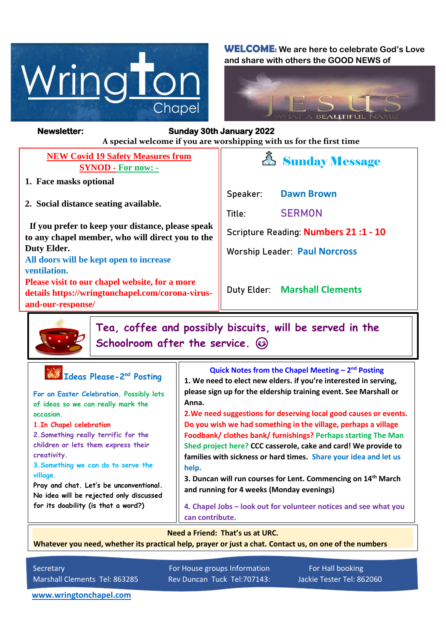

**WELCOME: We are here to celebrate God's Love and share with others the GOOD NEWS of**



#### *Figure 1ready steady* **A special welcome if you are worshipping with us for the first time Newsletter: Sunday 30th January 2022**

**NEW Covid 19 Safety Measures from SYNOD - For now: -**

- **1. Face masks optional**
- **2. Social distance seating available.**

 **If you prefer to keep your distance, please speak to any chapel member, who will direct you to the Duty Elder.**

**All doors will be kept open to increase ventilation.**

**Please visit to our chapel website, for a more details https://wringtonchapel.com/corona-virusand-our-response/**



**Speaker: Dawn Brown**

**Title: SERMON**

**Scripture Reading: Numbers 21 :1 - 10**

**Worship Leader: Paul Norcross**

**Duty Elder: Marshall Clements**

**Tea, coffee and possibly biscuits, will be served in the Schoolroom after the service.** 

| Ideas Please-2 <sup>nd</sup> Posting<br>For an Easter Celebration. Possibly lots<br>of ideas so we can really mark the<br>occasion.<br>1. In Chapel celebration<br>2. Something really terrific for the<br>children or lets them express their<br>creativity.<br>3. Something we can do to serve the<br>village.<br>Pray and chat. Let's be unconventional.<br>No idea will be rejected only discussed<br>for its doability (is that a word?) | Quick Notes from the Chapel Meeting $-2^{nd}$ Posting<br>1. We need to elect new elders. if you're interested in serving,<br>please sign up for the eldership training event. See Marshall or<br>Anna.<br>2. We need suggestions for deserving local good causes or events.<br>Do you wish we had something in the village, perhaps a village<br>Foodbank/ clothes bank/ furnishings? Perhaps starting The Man<br>Shed project here? CCC casserole, cake and card! We provide to<br>families with sickness or hard times. Share your idea and let us<br>help.<br>3. Duncan will run courses for Lent. Commencing on 14 <sup>th</sup> March<br>and running for 4 weeks (Monday evenings)<br>4. Chapel Jobs - look out for volunteer notices and see what you<br>can contribute. |
|-----------------------------------------------------------------------------------------------------------------------------------------------------------------------------------------------------------------------------------------------------------------------------------------------------------------------------------------------------------------------------------------------------------------------------------------------|--------------------------------------------------------------------------------------------------------------------------------------------------------------------------------------------------------------------------------------------------------------------------------------------------------------------------------------------------------------------------------------------------------------------------------------------------------------------------------------------------------------------------------------------------------------------------------------------------------------------------------------------------------------------------------------------------------------------------------------------------------------------------------|
| Need a Friend: That's us at URC.                                                                                                                                                                                                                                                                                                                                                                                                              |                                                                                                                                                                                                                                                                                                                                                                                                                                                                                                                                                                                                                                                                                                                                                                                |

**Whatever you need, whether its practical help, prayer or just a chat. Contact us, on one of the numbers** 

**below.**

Secretary For House groups Information For Hall booking Marshall Clements Tel: 863285 Rev Duncan Tuck Tel:707143: Jackie Tester Tel: 862060

**[www.wringtonchapel.com](http://www.wringtonchapel.com/)**